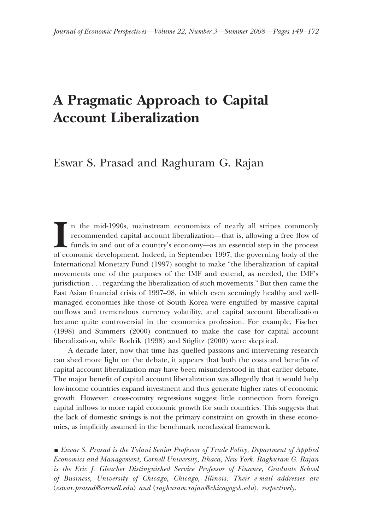# **A Pragmatic Approach to Capital Account Liberalization**

## Eswar S. Prasad and Raghuram G. Rajan

In the mid-1990s, mainstream economists of nearly all stripes commonly recommended capital account liberalization—that is, allowing a free flow of funds in and out of a country's economy—as an essential step in the process n the mid-1990s, mainstream economists of nearly all stripes commonly recommended capital account liberalization—that is, allowing a free flow of funds in and out of a country's economy—as an essential step in the process International Monetary Fund (1997) sought to make "the liberalization of capital movements one of the purposes of the IMF and extend, as needed, the IMF's jurisdiction . . . regarding the liberalization of such movements." But then came the East Asian financial crisis of 1997–98, in which even seemingly healthy and wellmanaged economies like those of South Korea were engulfed by massive capital outflows and tremendous currency volatility, and capital account liberalization became quite controversial in the economics profession. For example, Fischer (1998) and Summers (2000) continued to make the case for capital account liberalization, while Rodrik (1998) and Stiglitz (2000) were skeptical.

A decade later, now that time has quelled passions and intervening research can shed more light on the debate, it appears that both the costs and benefits of capital account liberalization may have been misunderstood in that earlier debate. The major benefit of capital account liberalization was allegedly that it would help low-income countries expand investment and thus generate higher rates of economic growth. However, cross-country regressions suggest little connection from foreign capital inflows to more rapid economic growth for such countries. This suggests that the lack of domestic savings is not the primary constraint on growth in these economies, as implicitly assumed in the benchmark neoclassical framework.

**E**swar S. Prasad is the Tolani Senior Professor of Trade Policy, Department of Applied *Economics and Management, Cornell University, Ithaca, New York. Raghuram G. Rajan is the Eric J. Gleacher Distinguished Service Professor of Finance, Graduate School of Business, University of Chicago, Chicago, Illinois. Their e-mail addresses are eswar.prasad@cornell.edu*- *and raghuram.rajan@chicagogsb.edu*-*, respectively.*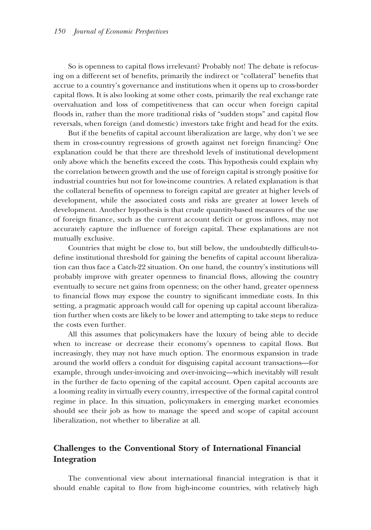So is openness to capital flows irrelevant? Probably not! The debate is refocusing on a different set of benefits, primarily the indirect or "collateral" benefits that accrue to a country's governance and institutions when it opens up to cross-border capital flows. It is also looking at some other costs, primarily the real exchange rate overvaluation and loss of competitiveness that can occur when foreign capital floods in, rather than the more traditional risks of "sudden stops" and capital flow reversals, when foreign (and domestic) investors take fright and head for the exits.

But if the benefits of capital account liberalization are large, why don't we see them in cross-country regressions of growth against net foreign financing? One explanation could be that there are threshold levels of institutional development only above which the benefits exceed the costs. This hypothesis could explain why the correlation between growth and the use of foreign capital is strongly positive for industrial countries but not for low-income countries. A related explanation is that the collateral benefits of openness to foreign capital are greater at higher levels of development, while the associated costs and risks are greater at lower levels of development. Another hypothesis is that crude quantity-based measures of the use of foreign finance, such as the current account deficit or gross inflows, may not accurately capture the influence of foreign capital. These explanations are not mutually exclusive.

Countries that might be close to, but still below, the undoubtedly difficult-todefine institutional threshold for gaining the benefits of capital account liberalization can thus face a Catch-22 situation. On one hand, the country's institutions will probably improve with greater openness to financial flows, allowing the country eventually to secure net gains from openness; on the other hand, greater openness to financial flows may expose the country to significant immediate costs. In this setting, a pragmatic approach would call for opening up capital account liberalization further when costs are likely to be lower and attempting to take steps to reduce the costs even further.

All this assumes that policymakers have the luxury of being able to decide when to increase or decrease their economy's openness to capital flows. But increasingly, they may not have much option. The enormous expansion in trade around the world offers a conduit for disguising capital account transactions—for example, through under-invoicing and over-invoicing—which inevitably will result in the further de facto opening of the capital account. Open capital accounts are a looming reality in virtually every country, irrespective of the formal capital control regime in place. In this situation, policymakers in emerging market economies should see their job as how to manage the speed and scope of capital account liberalization, not whether to liberalize at all.

## **Challenges to the Conventional Story of International Financial Integration**

The conventional view about international financial integration is that it should enable capital to flow from high-income countries, with relatively high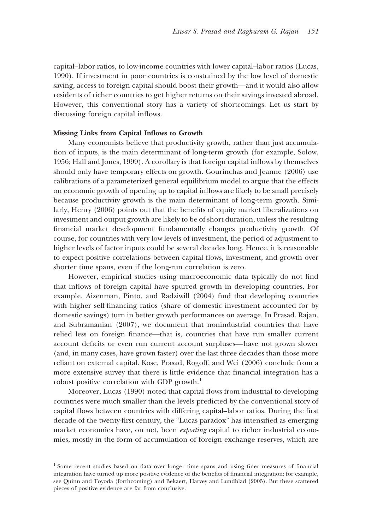capital–labor ratios, to low-income countries with lower capital–labor ratios (Lucas, 1990). If investment in poor countries is constrained by the low level of domestic saving, access to foreign capital should boost their growth—and it would also allow residents of richer countries to get higher returns on their savings invested abroad. However, this conventional story has a variety of shortcomings. Let us start by discussing foreign capital inflows.

#### **Missing Links from Capital Inflows to Growth**

Many economists believe that productivity growth, rather than just accumulation of inputs, is the main determinant of long-term growth (for example, Solow, 1956; Hall and Jones, 1999). A corollary is that foreign capital inflows by themselves should only have temporary effects on growth. Gourinchas and Jeanne (2006) use calibrations of a parameterized general equilibrium model to argue that the effects on economic growth of opening up to capital inflows are likely to be small precisely because productivity growth is the main determinant of long-term growth. Similarly, Henry (2006) points out that the benefits of equity market liberalizations on investment and output growth are likely to be of short duration, unless the resulting financial market development fundamentally changes productivity growth. Of course, for countries with very low levels of investment, the period of adjustment to higher levels of factor inputs could be several decades long. Hence, it is reasonable to expect positive correlations between capital flows, investment, and growth over shorter time spans, even if the long-run correlation is zero.

However, empirical studies using macroeconomic data typically do not find that inflows of foreign capital have spurred growth in developing countries. For example, Aizenman, Pinto, and Radziwill (2004) find that developing countries with higher self-financing ratios (share of domestic investment accounted for by domestic savings) turn in better growth performances on average. In Prasad, Rajan, and Subramanian (2007), we document that nonindustrial countries that have relied less on foreign finance—that is, countries that have run smaller current account deficits or even run current account surpluses—have not grown slower (and, in many cases, have grown faster) over the last three decades than those more reliant on external capital. Kose, Prasad, Rogoff, and Wei (2006) conclude from a more extensive survey that there is little evidence that financial integration has a robust positive correlation with GDP growth.<sup>1</sup>

Moreover, Lucas (1990) noted that capital flows from industrial to developing countries were much smaller than the levels predicted by the conventional story of capital flows between countries with differing capital–labor ratios. During the first decade of the twenty-first century, the "Lucas paradox" has intensified as emerging market economies have, on net, been *exporting* capital to richer industrial economies, mostly in the form of accumulation of foreign exchange reserves, which are

<sup>&</sup>lt;sup>1</sup> Some recent studies based on data over longer time spans and using finer measures of financial integration have turned up more positive evidence of the benefits of financial integration; for example, see Quinn and Toyoda (forthcoming) and Bekaert, Harvey and Lundblad (2005). But these scattered pieces of positive evidence are far from conclusive.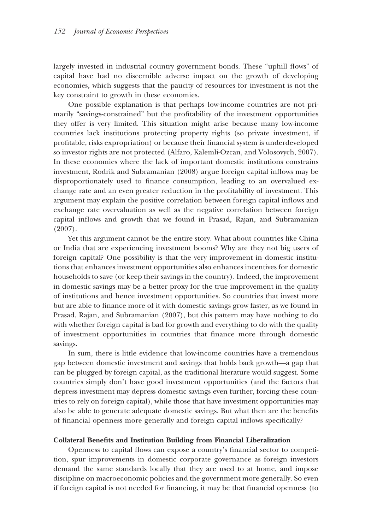largely invested in industrial country government bonds. These "uphill flows" of capital have had no discernible adverse impact on the growth of developing economies, which suggests that the paucity of resources for investment is not the key constraint to growth in these economies.

One possible explanation is that perhaps low-income countries are not primarily "savings-constrained" but the profitability of the investment opportunities they offer is very limited. This situation might arise because many low-income countries lack institutions protecting property rights (so private investment, if profitable, risks expropriation) or because their financial system is underdeveloped so investor rights are not protected (Alfaro, Kalemli-Ozcan, and Volosovych, 2007). In these economies where the lack of important domestic institutions constrains investment, Rodrik and Subramanian (2008) argue foreign capital inflows may be disproportionately used to finance consumption, leading to an overvalued exchange rate and an even greater reduction in the profitability of investment. This argument may explain the positive correlation between foreign capital inflows and exchange rate overvaluation as well as the negative correlation between foreign capital inflows and growth that we found in Prasad, Rajan, and Subramanian (2007).

Yet this argument cannot be the entire story. What about countries like China or India that are experiencing investment booms? Why are they not big users of foreign capital? One possibility is that the very improvement in domestic institutions that enhances investment opportunities also enhances incentives for domestic households to save (or keep their savings in the country). Indeed, the improvement in domestic savings may be a better proxy for the true improvement in the quality of institutions and hence investment opportunities. So countries that invest more but are able to finance more of it with domestic savings grow faster, as we found in Prasad, Rajan, and Subramanian (2007), but this pattern may have nothing to do with whether foreign capital is bad for growth and everything to do with the quality of investment opportunities in countries that finance more through domestic savings.

In sum, there is little evidence that low-income countries have a tremendous gap between domestic investment and savings that holds back growth—a gap that can be plugged by foreign capital, as the traditional literature would suggest. Some countries simply don't have good investment opportunities (and the factors that depress investment may depress domestic savings even further, forcing these countries to rely on foreign capital), while those that have investment opportunities may also be able to generate adequate domestic savings. But what then are the benefits of financial openness more generally and foreign capital inflows specifically?

#### **Collateral Benefits and Institution Building from Financial Liberalization**

Openness to capital flows can expose a country's financial sector to competition, spur improvements in domestic corporate governance as foreign investors demand the same standards locally that they are used to at home, and impose discipline on macroeconomic policies and the government more generally. So even if foreign capital is not needed for financing, it may be that financial openness (to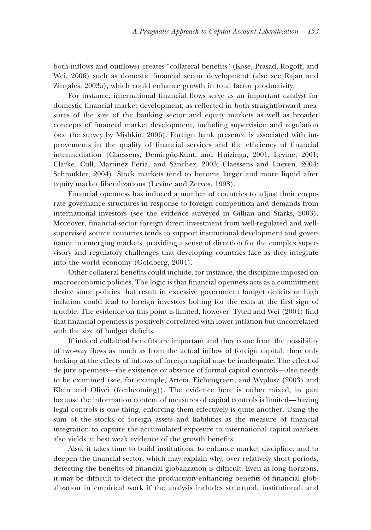both inflows and outflows) creates "collateral benefits" (Kose, Prasad, Rogoff, and Wei, 2006) such as domestic financial sector development (also see Rajan and Zingales, 2003a), which could enhance growth in total factor productivity.

For instance, international financial flows serve as an important catalyst for domestic financial market development, as reflected in both straightforward measures of the size of the banking sector and equity markets as well as broader concepts of financial market development, including supervision and regulation (see the survey by Mishkin, 2006). Foreign bank presence is associated with improvements in the quality of financial services and the efficiency of financial intermediation (Claessens, Demirgüç-Kunt, and Huizinga, 2001; Levine, 2001; Clarke, Cull, Martinez Peria, and Sanchez, 2003; Claessens and Laeven, 2004; Schmukler, 2004). Stock markets tend to become larger and more liquid after equity market liberalizations (Levine and Zervos, 1998).

Financial openness has induced a number of countries to adjust their corporate governance structures in response to foreign competition and demands from international investors (see the evidence surveyed in Gillian and Starks, 2003). Moreover, financial-sector foreign direct investment from well-regulated and wellsupervised source countries tends to support institutional development and governance in emerging markets, providing a sense of direction for the complex supervisory and regulatory challenges that developing countries face as they integrate into the world economy (Goldberg, 2004).

Other collateral benefits could include, for instance, the discipline imposed on macroeconomic policies. The logic is that financial openness acts as a commitment device since policies that result in excessive government budget deficits or high inflation could lead to foreign investors bolting for the exits at the first sign of trouble. The evidence on this point is limited, however. Tytell and Wei (2004) find that financial openness is positively correlated with lower inflation but uncorrelated with the size of budget deficits.

If indeed collateral benefits are important and they come from the possibility of two-way flows as much as from the actual inflow of foreign capital, then only looking at the effects of inflows of foreign capital may be inadequate. The effect of de jure openness—the existence or absence of formal capital controls—also needs to be examined (see, for example, Arteta, Eichengreen, and Wyplosz (2003) and Klein and Olivei (forthcoming)). The evidence here is rather mixed, in part because the information content of measures of capital controls is limited—having legal controls is one thing, enforcing them effectively is quite another. Using the sum of the stocks of foreign assets and liabilities as the measure of financial integration to capture the accumulated exposure to international capital markets also yields at best weak evidence of the growth benefits.

Also, it takes time to build institutions, to enhance market discipline, and to deepen the financial sector, which may explain why, over relatively short periods, detecting the benefits of financial globalization is difficult. Even at long horizons, it may be difficult to detect the productivity-enhancing benefits of financial globalization in empirical work if the analysis includes structural, institutional, and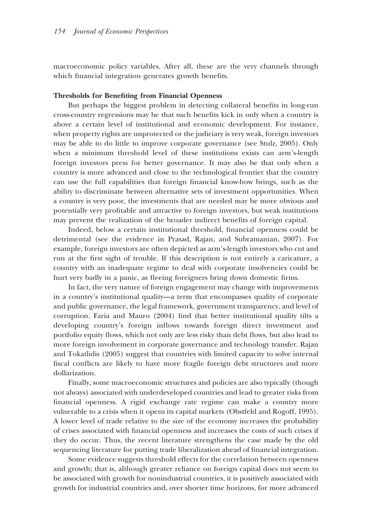macroeconomic policy variables. After all, these are the very channels through which financial integration generates growth benefits.

#### **Thresholds for Benefiting from Financial Openness**

But perhaps the biggest problem in detecting collateral benefits in long-run cross-country regressions may be that such benefits kick in only when a country is above a certain level of institutional and economic development. For instance, when property rights are unprotected or the judiciary is very weak, foreign investors may be able to do little to improve corporate governance (see Stulz, 2005). Only when a minimum threshold level of these institutions exists can arm's-length foreign investors press for better governance. It may also be that only when a country is more advanced and close to the technological frontier that the country can use the full capabilities that foreign financial know-how brings, such as the ability to discriminate between alternative sets of investment opportunities. When a country is very poor, the investments that are needed may be more obvious and potentially very profitable and attractive to foreign investors, but weak institutions may prevent the realization of the broader indirect benefits of foreign capital.

Indeed, below a certain institutional threshold, financial openness could be detrimental (see the evidence in Prasad, Rajan, and Subramanian, 2007). For example, foreign investors are often depicted as arm's-length investors who cut and run at the first sight of trouble. If this description is not entirely a caricature, a country with an inadequate regime to deal with corporate insolvencies could be hurt very badly in a panic, as fleeing foreigners bring down domestic firms.

In fact, the very nature of foreign engagement may change with improvements in a country's institutional quality—a term that encompasses quality of corporate and public governance, the legal framework, government transparency, and level of corruption. Faria and Mauro (2004) find that better institutional quality tilts a developing country's foreign inflows towards foreign direct investment and portfolio equity flows, which not only are less risky than debt flows, but also lead to more foreign involvement in corporate governance and technology transfer. Rajan and Tokatlidis (2005) suggest that countries with limited capacity to solve internal fiscal conflicts are likely to have more fragile foreign debt structures and more dollarization.

Finally, some macroeconomic structures and policies are also typically (though not always) associated with underdeveloped countries and lead to greater risks from financial openness. A rigid exchange rate regime can make a country more vulnerable to a crisis when it opens its capital markets (Obstfeld and Rogoff, 1995). A lower level of trade relative to the size of the economy increases the probability of crises associated with financial openness and increases the costs of such crises if they do occur. Thus, the recent literature strengthens the case made by the old sequencing literature for putting trade liberalization ahead of financial integration.

Some evidence suggests threshold effects for the correlation between openness and growth; that is, although greater reliance on foreign capital does not seem to be associated with growth for nonindustrial countries, it is positively associated with growth for industrial countries and, over shorter time horizons, for more advanced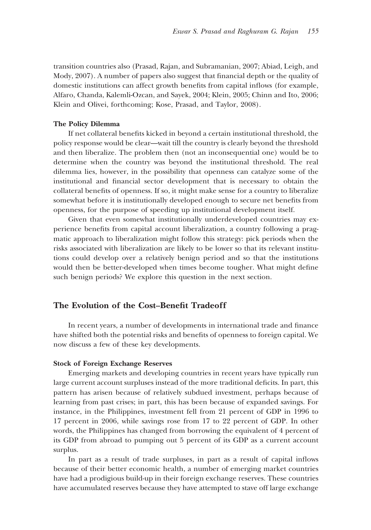transition countries also (Prasad, Rajan, and Subramanian, 2007; Abiad, Leigh, and Mody, 2007). A number of papers also suggest that financial depth or the quality of domestic institutions can affect growth benefits from capital inflows (for example, Alfaro, Chanda, Kalemli-Ozcan, and Sayek, 2004; Klein, 2005; Chinn and Ito, 2006; Klein and Olivei, forthcoming; Kose, Prasad, and Taylor, 2008).

#### **The Policy Dilemma**

If net collateral benefits kicked in beyond a certain institutional threshold, the policy response would be clear—wait till the country is clearly beyond the threshold and then liberalize. The problem then (not an inconsequential one) would be to determine when the country was beyond the institutional threshold. The real dilemma lies, however, in the possibility that openness can catalyze some of the institutional and financial sector development that is necessary to obtain the collateral benefits of openness. If so, it might make sense for a country to liberalize somewhat before it is institutionally developed enough to secure net benefits from openness, for the purpose of speeding up institutional development itself.

Given that even somewhat institutionally underdeveloped countries may experience benefits from capital account liberalization, a country following a pragmatic approach to liberalization might follow this strategy: pick periods when the risks associated with liberalization are likely to be lower so that its relevant institutions could develop over a relatively benign period and so that the institutions would then be better-developed when times become tougher. What might define such benign periods? We explore this question in the next section.

## **The Evolution of the Cost–Benefit Tradeoff**

In recent years, a number of developments in international trade and finance have shifted both the potential risks and benefits of openness to foreign capital. We now discuss a few of these key developments.

#### **Stock of Foreign Exchange Reserves**

Emerging markets and developing countries in recent years have typically run large current account surpluses instead of the more traditional deficits. In part, this pattern has arisen because of relatively subdued investment, perhaps because of learning from past crises; in part, this has been because of expanded savings. For instance, in the Philippines, investment fell from 21 percent of GDP in 1996 to 17 percent in 2006, while savings rose from 17 to 22 percent of GDP. In other words, the Philippines has changed from borrowing the equivalent of 4 percent of its GDP from abroad to pumping out 5 percent of its GDP as a current account surplus.

In part as a result of trade surpluses, in part as a result of capital inflows because of their better economic health, a number of emerging market countries have had a prodigious build-up in their foreign exchange reserves. These countries have accumulated reserves because they have attempted to stave off large exchange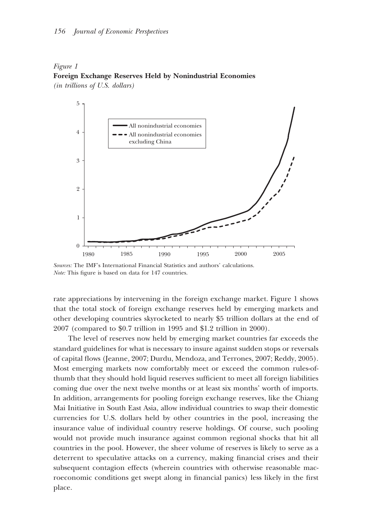## *Figure 1* **Foreign Exchange Reserves Held by Nonindustrial Economies** *(in trillions of U.S. dollars)*



*Sources:* The IMF's International Financial Statistics and authors' calculations. *Note:* This figure is based on data for 147 countries.

rate appreciations by intervening in the foreign exchange market. Figure 1 shows that the total stock of foreign exchange reserves held by emerging markets and other developing countries skyrocketed to nearly \$5 trillion dollars at the end of 2007 (compared to \$0.7 trillion in 1995 and \$1.2 trillion in 2000).

The level of reserves now held by emerging market countries far exceeds the standard guidelines for what is necessary to insure against sudden stops or reversals of capital flows (Jeanne, 2007; Durdu, Mendoza, and Terrones, 2007; Reddy, 2005). Most emerging markets now comfortably meet or exceed the common rules-ofthumb that they should hold liquid reserves sufficient to meet all foreign liabilities coming due over the next twelve months or at least six months' worth of imports. In addition, arrangements for pooling foreign exchange reserves, like the Chiang Mai Initiative in South East Asia, allow individual countries to swap their domestic currencies for U.S. dollars held by other countries in the pool, increasing the insurance value of individual country reserve holdings. Of course, such pooling would not provide much insurance against common regional shocks that hit all countries in the pool. However, the sheer volume of reserves is likely to serve as a deterrent to speculative attacks on a currency, making financial crises and their subsequent contagion effects (wherein countries with otherwise reasonable macroeconomic conditions get swept along in financial panics) less likely in the first place.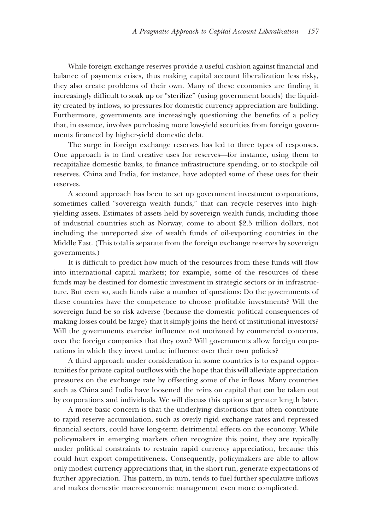While foreign exchange reserves provide a useful cushion against financial and balance of payments crises, thus making capital account liberalization less risky, they also create problems of their own. Many of these economies are finding it increasingly difficult to soak up or "sterilize" (using government bonds) the liquidity created by inflows, so pressures for domestic currency appreciation are building. Furthermore, governments are increasingly questioning the benefits of a policy that, in essence, involves purchasing more low-yield securities from foreign governments financed by higher-yield domestic debt.

The surge in foreign exchange reserves has led to three types of responses. One approach is to find creative uses for reserves—for instance, using them to recapitalize domestic banks, to finance infrastructure spending, or to stockpile oil reserves. China and India, for instance, have adopted some of these uses for their reserves.

A second approach has been to set up government investment corporations, sometimes called "sovereign wealth funds," that can recycle reserves into highyielding assets. Estimates of assets held by sovereign wealth funds, including those of industrial countries such as Norway, come to about \$2.5 trillion dollars, not including the unreported size of wealth funds of oil-exporting countries in the Middle East. (This total is separate from the foreign exchange reserves by sovereign governments.)

It is difficult to predict how much of the resources from these funds will flow into international capital markets; for example, some of the resources of these funds may be destined for domestic investment in strategic sectors or in infrastructure. But even so, such funds raise a number of questions: Do the governments of these countries have the competence to choose profitable investments? Will the sovereign fund be so risk adverse (because the domestic political consequences of making losses could be large) that it simply joins the herd of institutional investors? Will the governments exercise influence not motivated by commercial concerns, over the foreign companies that they own? Will governments allow foreign corporations in which they invest undue influence over their own policies?

A third approach under consideration in some countries is to expand opportunities for private capital outflows with the hope that this will alleviate appreciation pressures on the exchange rate by offsetting some of the inflows. Many countries such as China and India have loosened the reins on capital that can be taken out by corporations and individuals. We will discuss this option at greater length later.

A more basic concern is that the underlying distortions that often contribute to rapid reserve accumulation, such as overly rigid exchange rates and repressed financial sectors, could have long-term detrimental effects on the economy. While policymakers in emerging markets often recognize this point, they are typically under political constraints to restrain rapid currency appreciation, because this could hurt export competitiveness. Consequently, policymakers are able to allow only modest currency appreciations that, in the short run, generate expectations of further appreciation. This pattern, in turn, tends to fuel further speculative inflows and makes domestic macroeconomic management even more complicated.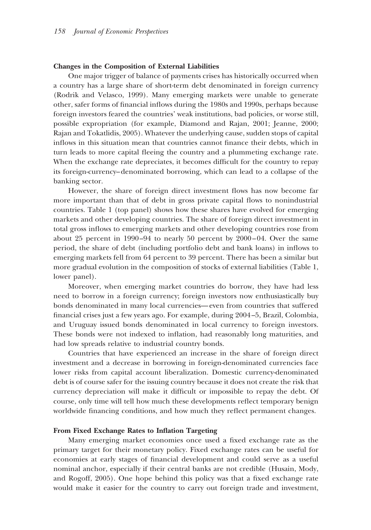#### **Changes in the Composition of External Liabilities**

One major trigger of balance of payments crises has historically occurred when a country has a large share of short-term debt denominated in foreign currency (Rodrik and Velasco, 1999). Many emerging markets were unable to generate other, safer forms of financial inflows during the 1980s and 1990s, perhaps because foreign investors feared the countries' weak institutions, bad policies, or worse still, possible expropriation (for example, Diamond and Rajan, 2001; Jeanne, 2000; Rajan and Tokatlidis, 2005). Whatever the underlying cause, sudden stops of capital inflows in this situation mean that countries cannot finance their debts, which in turn leads to more capital fleeing the country and a plummeting exchange rate. When the exchange rate depreciates, it becomes difficult for the country to repay its foreign-currency–denominated borrowing, which can lead to a collapse of the banking sector.

However, the share of foreign direct investment flows has now become far more important than that of debt in gross private capital flows to nonindustrial countries. Table 1 (top panel) shows how these shares have evolved for emerging markets and other developing countries. The share of foreign direct investment in total gross inflows to emerging markets and other developing countries rose from about 25 percent in 1990–94 to nearly 50 percent by 2000–04. Over the same period, the share of debt (including portfolio debt and bank loans) in inflows to emerging markets fell from 64 percent to 39 percent. There has been a similar but more gradual evolution in the composition of stocks of external liabilities (Table 1, lower panel).

Moreover, when emerging market countries do borrow, they have had less need to borrow in a foreign currency; foreign investors now enthusiastically buy bonds denominated in many local currencies—even from countries that suffered financial crises just a few years ago. For example, during 2004–5, Brazil, Colombia, and Uruguay issued bonds denominated in local currency to foreign investors. These bonds were not indexed to inflation, had reasonably long maturities, and had low spreads relative to industrial country bonds.

Countries that have experienced an increase in the share of foreign direct investment and a decrease in borrowing in foreign-denominated currencies face lower risks from capital account liberalization. Domestic currency-denominated debt is of course safer for the issuing country because it does not create the risk that currency depreciation will make it difficult or impossible to repay the debt. Of course, only time will tell how much these developments reflect temporary benign worldwide financing conditions, and how much they reflect permanent changes.

#### **From Fixed Exchange Rates to Inflation Targeting**

Many emerging market economies once used a fixed exchange rate as the primary target for their monetary policy. Fixed exchange rates can be useful for economies at early stages of financial development and could serve as a useful nominal anchor, especially if their central banks are not credible (Husain, Mody, and Rogoff, 2005). One hope behind this policy was that a fixed exchange rate would make it easier for the country to carry out foreign trade and investment,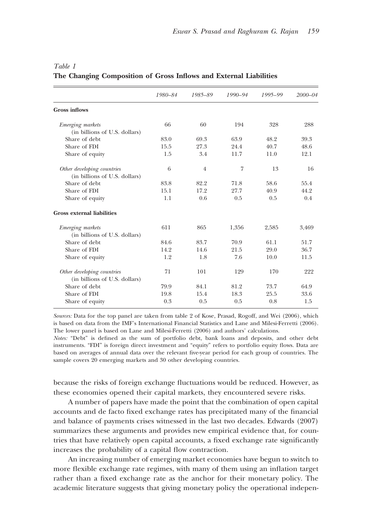|                                                             | 1980-84 | 1985-89        | 1990-94 | 1995-99 | $2000 - 04$ |
|-------------------------------------------------------------|---------|----------------|---------|---------|-------------|
| <b>Gross inflows</b>                                        |         |                |         |         |             |
| <i>Emerging markets</i><br>(in billions of U.S. dollars)    | 66      | 60             | 194     | 328     | 288         |
| Share of debt.                                              | 83.0    | 69.3           | 63.9    | 48.2    | 39.3        |
| Share of FDI                                                | 15.5    | 27.3           | 24.4    | 40.7    | 48.6        |
| Share of equity                                             | 1.5     | 3.4            | 11.7    | 11.0    | 12.1        |
| Other developing countries<br>(in billions of U.S. dollars) | 6       | $\overline{4}$ | 7       | 13      | 16          |
| Share of debt.                                              | 83.8    | 82.2           | 71.8    | 58.6    | 55.4        |
| Share of FDI                                                | 15.1    | 17.2           | 27.7    | 40.9    | 44.2        |
| Share of equity                                             | 1.1     | 0.6            | 0.5     | 0.5     | 0.4         |
| <b>Gross external liabilities</b>                           |         |                |         |         |             |
| Emerging markets<br>(in billions of U.S. dollars)           | 611     | 865            | 1,356   | 2,585   | 3,469       |
| Share of debt                                               | 84.6    | 83.7           | 70.9    | 61.1    | 51.7        |
| Share of FDI                                                | 14.2    | 14.6           | 21.5    | 29.0    | 36.7        |
| Share of equity                                             | 1.2     | 1.8            | 7.6     | 10.0    | 11.5        |
| Other developing countries<br>(in billions of U.S. dollars) | 71      | 101            | 129     | 170     | 222         |
| Share of debt.                                              | 79.9    | 84.1           | 81.2    | 73.7    | 64.9        |
| Share of FDI                                                | 19.8    | 15.4           | 18.3    | 25.5    | 33.6        |
| Share of equity                                             | 0.3     | 0.5            | 0.5     | 0.8     | 1.5         |
|                                                             |         |                |         |         |             |

## *Table 1* **The Changing Composition of Gross Inflows and External Liabilities**

*Sources:* Data for the top panel are taken from table 2 of Kose, Prasad, Rogoff, and Wei (2006), which is based on data from the IMF's International Financial Statistics and Lane and Milesi-Ferretti (2006). The lower panel is based on Lane and Milesi-Ferretti (2006) and authors' calculations.

*Notes:* "Debt" is defined as the sum of portfolio debt, bank loans and deposits, and other debt instruments. "FDI" is foreign direct investment and "equity" refers to portfolio equity flows. Data are based on averages of annual data over the relevant five-year period for each group of countries. The sample covers 20 emerging markets and 30 other developing countries.

because the risks of foreign exchange fluctuations would be reduced. However, as these economies opened their capital markets, they encountered severe risks.

A number of papers have made the point that the combination of open capital accounts and de facto fixed exchange rates has precipitated many of the financial and balance of payments crises witnessed in the last two decades. Edwards (2007) summarizes these arguments and provides new empirical evidence that, for countries that have relatively open capital accounts, a fixed exchange rate significantly increases the probability of a capital flow contraction.

An increasing number of emerging market economies have begun to switch to more flexible exchange rate regimes, with many of them using an inflation target rather than a fixed exchange rate as the anchor for their monetary policy. The academic literature suggests that giving monetary policy the operational indepen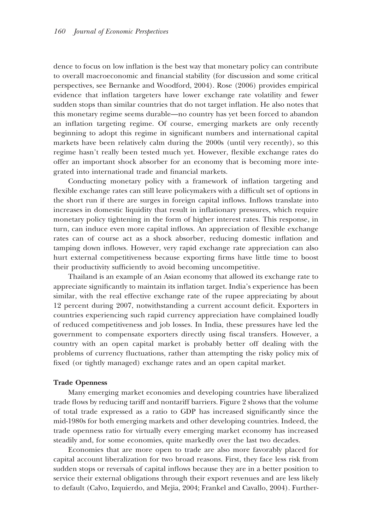dence to focus on low inflation is the best way that monetary policy can contribute to overall macroeconomic and financial stability (for discussion and some critical perspectives, see Bernanke and Woodford, 2004). Rose (2006) provides empirical evidence that inflation targeters have lower exchange rate volatility and fewer sudden stops than similar countries that do not target inflation. He also notes that this monetary regime seems durable—no country has yet been forced to abandon an inflation targeting regime. Of course, emerging markets are only recently beginning to adopt this regime in significant numbers and international capital markets have been relatively calm during the 2000s (until very recently), so this regime hasn't really been tested much yet. However, flexible exchange rates do offer an important shock absorber for an economy that is becoming more integrated into international trade and financial markets.

Conducting monetary policy with a framework of inflation targeting and flexible exchange rates can still leave policymakers with a difficult set of options in the short run if there are surges in foreign capital inflows. Inflows translate into increases in domestic liquidity that result in inflationary pressures, which require monetary policy tightening in the form of higher interest rates. This response, in turn, can induce even more capital inflows. An appreciation of flexible exchange rates can of course act as a shock absorber, reducing domestic inflation and tamping down inflows. However, very rapid exchange rate appreciation can also hurt external competitiveness because exporting firms have little time to boost their productivity sufficiently to avoid becoming uncompetitive.

Thailand is an example of an Asian economy that allowed its exchange rate to appreciate significantly to maintain its inflation target. India's experience has been similar, with the real effective exchange rate of the rupee appreciating by about 12 percent during 2007, notwithstanding a current account deficit. Exporters in countries experiencing such rapid currency appreciation have complained loudly of reduced competitiveness and job losses. In India, these pressures have led the government to compensate exporters directly using fiscal transfers. However, a country with an open capital market is probably better off dealing with the problems of currency fluctuations, rather than attempting the risky policy mix of fixed (or tightly managed) exchange rates and an open capital market.

#### **Trade Openness**

Many emerging market economies and developing countries have liberalized trade flows by reducing tariff and nontariff barriers. Figure 2 shows that the volume of total trade expressed as a ratio to GDP has increased significantly since the mid-1980s for both emerging markets and other developing countries. Indeed, the trade openness ratio for virtually every emerging market economy has increased steadily and, for some economies, quite markedly over the last two decades.

Economies that are more open to trade are also more favorably placed for capital account liberalization for two broad reasons. First, they face less risk from sudden stops or reversals of capital inflows because they are in a better position to service their external obligations through their export revenues and are less likely to default (Calvo, Izquierdo, and Mejia, 2004; Frankel and Cavallo, 2004). Further-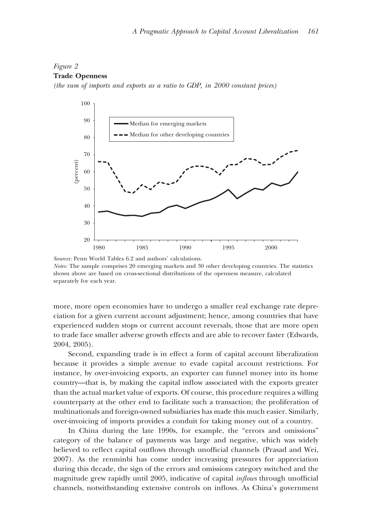



*Sources:* Penn World Tables 6.2 and authors' calculations. *Notes:* The sample comprises 20 emerging markets and 30 other developing countries. The statistics shown above are based on cross-sectional distributions of the openness measure, calculated separately for each year.

more, more open economies have to undergo a smaller real exchange rate depreciation for a given current account adjustment; hence, among countries that have experienced sudden stops or current account reversals, those that are more open to trade face smaller adverse growth effects and are able to recover faster (Edwards, 2004, 2005).

Second, expanding trade is in effect a form of capital account liberalization because it provides a simple avenue to evade capital account restrictions. For instance, by over-invoicing exports, an exporter can funnel money into its home country—that is, by making the capital inflow associated with the exports greater than the actual market value of exports. Of course, this procedure requires a willing counterparty at the other end to facilitate such a transaction; the proliferation of multinationals and foreign-owned subsidiaries has made this much easier. Similarly, over-invoicing of imports provides a conduit for taking money out of a country.

In China during the late 1990s, for example, the "errors and omissions" category of the balance of payments was large and negative, which was widely believed to reflect capital outflows through unofficial channels (Prasad and Wei, 2007). As the renminbi has come under increasing pressures for appreciation during this decade, the sign of the errors and omissions category switched and the magnitude grew rapidly until 2005, indicative of capital *inflows* through unofficial channels, notwithstanding extensive controls on inflows. As China's government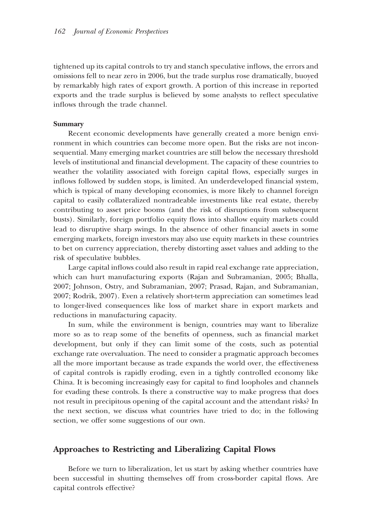tightened up its capital controls to try and stanch speculative inflows, the errors and omissions fell to near zero in 2006, but the trade surplus rose dramatically, buoyed by remarkably high rates of export growth. A portion of this increase in reported exports and the trade surplus is believed by some analysts to reflect speculative inflows through the trade channel.

#### **Summary**

Recent economic developments have generally created a more benign environment in which countries can become more open. But the risks are not inconsequential. Many emerging market countries are still below the necessary threshold levels of institutional and financial development. The capacity of these countries to weather the volatility associated with foreign capital flows, especially surges in inflows followed by sudden stops, is limited. An underdeveloped financial system, which is typical of many developing economies, is more likely to channel foreign capital to easily collateralized nontradeable investments like real estate, thereby contributing to asset price booms (and the risk of disruptions from subsequent busts). Similarly, foreign portfolio equity flows into shallow equity markets could lead to disruptive sharp swings. In the absence of other financial assets in some emerging markets, foreign investors may also use equity markets in these countries to bet on currency appreciation, thereby distorting asset values and adding to the risk of speculative bubbles.

Large capital inflows could also result in rapid real exchange rate appreciation, which can hurt manufacturing exports (Rajan and Subramanian, 2005; Bhalla, 2007; Johnson, Ostry, and Subramanian, 2007; Prasad, Rajan, and Subramanian, 2007; Rodrik, 2007). Even a relatively short-term appreciation can sometimes lead to longer-lived consequences like loss of market share in export markets and reductions in manufacturing capacity.

In sum, while the environment is benign, countries may want to liberalize more so as to reap some of the benefits of openness, such as financial market development, but only if they can limit some of the costs, such as potential exchange rate overvaluation. The need to consider a pragmatic approach becomes all the more important because as trade expands the world over, the effectiveness of capital controls is rapidly eroding, even in a tightly controlled economy like China. It is becoming increasingly easy for capital to find loopholes and channels for evading these controls. Is there a constructive way to make progress that does not result in precipitous opening of the capital account and the attendant risks? In the next section, we discuss what countries have tried to do; in the following section, we offer some suggestions of our own.

## **Approaches to Restricting and Liberalizing Capital Flows**

Before we turn to liberalization, let us start by asking whether countries have been successful in shutting themselves off from cross-border capital flows. Are capital controls effective?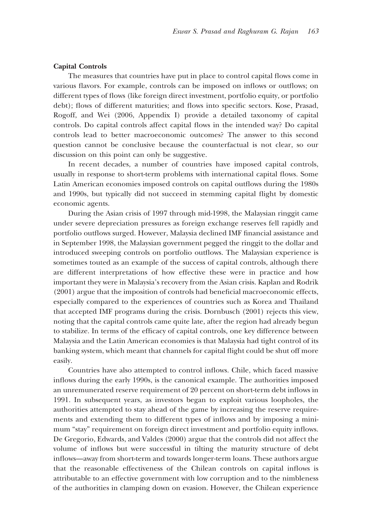#### **Capital Controls**

The measures that countries have put in place to control capital flows come in various flavors. For example, controls can be imposed on inflows or outflows; on different types of flows (like foreign direct investment, portfolio equity, or portfolio debt); flows of different maturities; and flows into specific sectors. Kose, Prasad, Rogoff, and Wei (2006, Appendix I) provide a detailed taxonomy of capital controls. Do capital controls affect capital flows in the intended way? Do capital controls lead to better macroeconomic outcomes? The answer to this second question cannot be conclusive because the counterfactual is not clear, so our discussion on this point can only be suggestive.

In recent decades, a number of countries have imposed capital controls, usually in response to short-term problems with international capital flows. Some Latin American economies imposed controls on capital outflows during the 1980s and 1990s, but typically did not succeed in stemming capital flight by domestic economic agents.

During the Asian crisis of 1997 through mid-1998, the Malaysian ringgit came under severe depreciation pressures as foreign exchange reserves fell rapidly and portfolio outflows surged. However, Malaysia declined IMF financial assistance and in September 1998, the Malaysian government pegged the ringgit to the dollar and introduced sweeping controls on portfolio outflows. The Malaysian experience is sometimes touted as an example of the success of capital controls, although there are different interpretations of how effective these were in practice and how important they were in Malaysia's recovery from the Asian crisis. Kaplan and Rodrik (2001) argue that the imposition of controls had beneficial macroeconomic effects, especially compared to the experiences of countries such as Korea and Thailand that accepted IMF programs during the crisis. Dornbusch (2001) rejects this view, noting that the capital controls came quite late, after the region had already begun to stabilize. In terms of the efficacy of capital controls, one key difference between Malaysia and the Latin American economies is that Malaysia had tight control of its banking system, which meant that channels for capital flight could be shut off more easily.

Countries have also attempted to control inflows. Chile, which faced massive inflows during the early 1990s, is the canonical example. The authorities imposed an unremunerated reserve requirement of 20 percent on short-term debt inflows in 1991. In subsequent years, as investors began to exploit various loopholes, the authorities attempted to stay ahead of the game by increasing the reserve requirements and extending them to different types of inflows and by imposing a minimum "stay" requirement on foreign direct investment and portfolio equity inflows. De Gregorio, Edwards, and Valdes (2000) argue that the controls did not affect the volume of inflows but were successful in tilting the maturity structure of debt inflows—away from short-term and towards longer-term loans. These authors argue that the reasonable effectiveness of the Chilean controls on capital inflows is attributable to an effective government with low corruption and to the nimbleness of the authorities in clamping down on evasion. However, the Chilean experience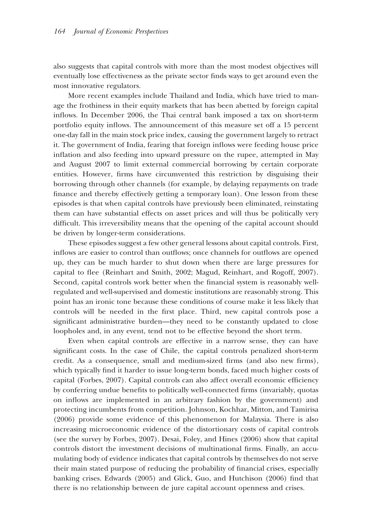also suggests that capital controls with more than the most modest objectives will eventually lose effectiveness as the private sector finds ways to get around even the most innovative regulators.

More recent examples include Thailand and India, which have tried to manage the frothiness in their equity markets that has been abetted by foreign capital inflows. In December 2006, the Thai central bank imposed a tax on short-term portfolio equity inflows. The announcement of this measure set off a 15 percent one-day fall in the main stock price index, causing the government largely to retract it. The government of India, fearing that foreign inflows were feeding house price inflation and also feeding into upward pressure on the rupee, attempted in May and August 2007 to limit external commercial borrowing by certain corporate entities. However, firms have circumvented this restriction by disguising their borrowing through other channels (for example, by delaying repayments on trade finance and thereby effectively getting a temporary loan). One lesson from these episodes is that when capital controls have previously been eliminated, reinstating them can have substantial effects on asset prices and will thus be politically very difficult. This irreversibility means that the opening of the capital account should be driven by longer-term considerations.

These episodes suggest a few other general lessons about capital controls. First, inflows are easier to control than outflows; once channels for outflows are opened up, they can be much harder to shut down when there are large pressures for capital to flee (Reinhart and Smith, 2002; Magud, Reinhart, and Rogoff, 2007). Second, capital controls work better when the financial system is reasonably wellregulated and well-supervised and domestic institutions are reasonably strong. This point has an ironic tone because these conditions of course make it less likely that controls will be needed in the first place. Third, new capital controls pose a significant administrative burden—they need to be constantly updated to close loopholes and, in any event, tend not to be effective beyond the short term.

Even when capital controls are effective in a narrow sense, they can have significant costs. In the case of Chile, the capital controls penalized short-term credit. As a consequence, small and medium-sized firms (and also new firms), which typically find it harder to issue long-term bonds, faced much higher costs of capital (Forbes, 2007). Capital controls can also affect overall economic efficiency by conferring undue benefits to politically well-connected firms (invariably, quotas on inflows are implemented in an arbitrary fashion by the government) and protecting incumbents from competition. Johnson, Kochhar, Mitton, and Tamirisa (2006) provide some evidence of this phenomenon for Malaysia. There is also increasing microeconomic evidence of the distortionary costs of capital controls (see the survey by Forbes, 2007). Desai, Foley, and Hines (2006) show that capital controls distort the investment decisions of multinational firms. Finally, an accumulating body of evidence indicates that capital controls by themselves do not serve their main stated purpose of reducing the probability of financial crises, especially banking crises. Edwards (2005) and Glick, Guo, and Hutchison (2006) find that there is no relationship between de jure capital account openness and crises.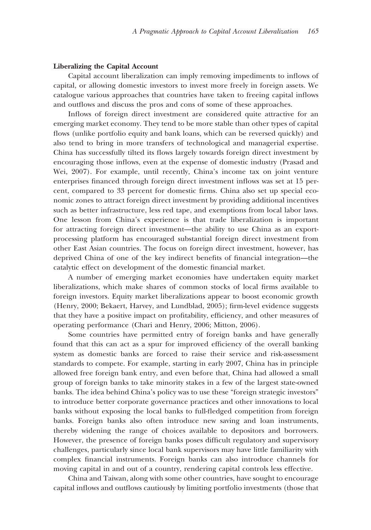#### **Liberalizing the Capital Account**

Capital account liberalization can imply removing impediments to inflows of capital, or allowing domestic investors to invest more freely in foreign assets. We catalogue various approaches that countries have taken to freeing capital inflows and outflows and discuss the pros and cons of some of these approaches.

Inflows of foreign direct investment are considered quite attractive for an emerging market economy. They tend to be more stable than other types of capital flows (unlike portfolio equity and bank loans, which can be reversed quickly) and also tend to bring in more transfers of technological and managerial expertise. China has successfully tilted its flows largely towards foreign direct investment by encouraging those inflows, even at the expense of domestic industry (Prasad and Wei, 2007). For example, until recently, China's income tax on joint venture enterprises financed through foreign direct investment inflows was set at 15 percent, compared to 33 percent for domestic firms. China also set up special economic zones to attract foreign direct investment by providing additional incentives such as better infrastructure, less red tape, and exemptions from local labor laws. One lesson from China's experience is that trade liberalization is important for attracting foreign direct investment—the ability to use China as an exportprocessing platform has encouraged substantial foreign direct investment from other East Asian countries. The focus on foreign direct investment, however, has deprived China of one of the key indirect benefits of financial integration—the catalytic effect on development of the domestic financial market.

A number of emerging market economies have undertaken equity market liberalizations, which make shares of common stocks of local firms available to foreign investors. Equity market liberalizations appear to boost economic growth (Henry, 2000; Bekaert, Harvey, and Lundblad, 2005); firm-level evidence suggests that they have a positive impact on profitability, efficiency, and other measures of operating performance (Chari and Henry, 2006; Mitton, 2006).

Some countries have permitted entry of foreign banks and have generally found that this can act as a spur for improved efficiency of the overall banking system as domestic banks are forced to raise their service and risk-assessment standards to compete. For example, starting in early 2007, China has in principle allowed free foreign bank entry, and even before that, China had allowed a small group of foreign banks to take minority stakes in a few of the largest state-owned banks. The idea behind China's policy was to use these "foreign strategic investors" to introduce better corporate governance practices and other innovations to local banks without exposing the local banks to full-fledged competition from foreign banks. Foreign banks also often introduce new saving and loan instruments, thereby widening the range of choices available to depositors and borrowers. However, the presence of foreign banks poses difficult regulatory and supervisory challenges, particularly since local bank supervisors may have little familiarity with complex financial instruments. Foreign banks can also introduce channels for moving capital in and out of a country, rendering capital controls less effective.

China and Taiwan, along with some other countries, have sought to encourage capital inflows and outflows cautiously by limiting portfolio investments (those that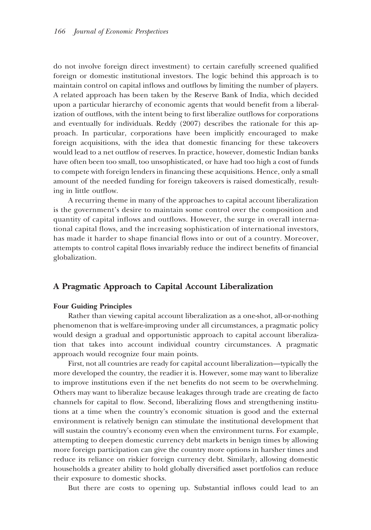do not involve foreign direct investment) to certain carefully screened qualified foreign or domestic institutional investors. The logic behind this approach is to maintain control on capital inflows and outflows by limiting the number of players. A related approach has been taken by the Reserve Bank of India, which decided upon a particular hierarchy of economic agents that would benefit from a liberalization of outflows, with the intent being to first liberalize outflows for corporations and eventually for individuals. Reddy (2007) describes the rationale for this approach. In particular, corporations have been implicitly encouraged to make foreign acquisitions, with the idea that domestic financing for these takeovers would lead to a net outflow of reserves. In practice, however, domestic Indian banks have often been too small, too unsophisticated, or have had too high a cost of funds to compete with foreign lenders in financing these acquisitions. Hence, only a small amount of the needed funding for foreign takeovers is raised domestically, resulting in little outflow.

A recurring theme in many of the approaches to capital account liberalization is the government's desire to maintain some control over the composition and quantity of capital inflows and outflows. However, the surge in overall international capital flows, and the increasing sophistication of international investors, has made it harder to shape financial flows into or out of a country. Moreover, attempts to control capital flows invariably reduce the indirect benefits of financial globalization.

## **A Pragmatic Approach to Capital Account Liberalization**

## **Four Guiding Principles**

Rather than viewing capital account liberalization as a one-shot, all-or-nothing phenomenon that is welfare-improving under all circumstances, a pragmatic policy would design a gradual and opportunistic approach to capital account liberalization that takes into account individual country circumstances. A pragmatic approach would recognize four main points.

First, not all countries are ready for capital account liberalization—typically the more developed the country, the readier it is. However, some may want to liberalize to improve institutions even if the net benefits do not seem to be overwhelming. Others may want to liberalize because leakages through trade are creating de facto channels for capital to flow. Second, liberalizing flows and strengthening institutions at a time when the country's economic situation is good and the external environment is relatively benign can stimulate the institutional development that will sustain the country's economy even when the environment turns. For example, attempting to deepen domestic currency debt markets in benign times by allowing more foreign participation can give the country more options in harsher times and reduce its reliance on riskier foreign currency debt. Similarly, allowing domestic households a greater ability to hold globally diversified asset portfolios can reduce their exposure to domestic shocks.

But there are costs to opening up. Substantial inflows could lead to an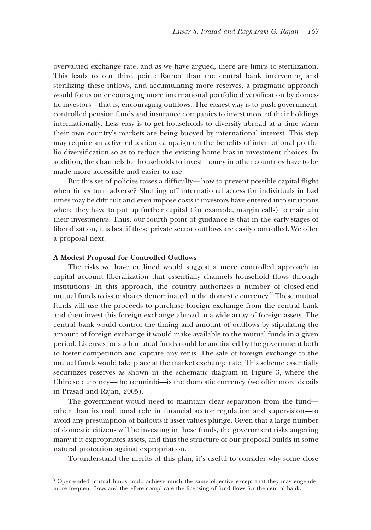overvalued exchange rate, and as we have argued, there are limits to sterilization. This leads to our third point: Rather than the central bank intervening and sterilizing these inflows, and accumulating more reserves, a pragmatic approach would focus on encouraging more international portfolio diversification by domestic investors—that is, encouraging outflows. The easiest way is to push governmentcontrolled pension funds and insurance companies to invest more of their holdings internationally. Less easy is to get households to diversify abroad at a time when their own country's markets are being buoyed by international interest. This step may require an active education campaign on the benefits of international portfolio diversification so as to reduce the existing home bias in investment choices. In addition, the channels for households to invest money in other countries have to be made more accessible and easier to use.

But this set of policies raises a difficulty—how to prevent possible capital flight when times turn adverse? Shutting off international access for individuals in bad times may be difficult and even impose costs if investors have entered into situations where they have to put up further capital (for example, margin calls) to maintain their investments. Thus, our fourth point of guidance is that in the early stages of liberalization, it is best if these private sector outflows are easily controlled. We offer a proposal next.

#### **A Modest Proposal for Controlled Outflows**

The risks we have outlined would suggest a more controlled approach to capital account liberalization that essentially channels household flows through institutions. In this approach, the country authorizes a number of closed-end mutual funds to issue shares denominated in the domestic currency.<sup>2</sup> These mutual funds will use the proceeds to purchase foreign exchange from the central bank and then invest this foreign exchange abroad in a wide array of foreign assets. The central bank would control the timing and amount of outflows by stipulating the amount of foreign exchange it would make available to the mutual funds in a given period. Licenses for such mutual funds could be auctioned by the government both to foster competition and capture any rents. The sale of foreign exchange to the mutual funds would take place at the market exchange rate. This scheme essentially securitizes reserves as shown in the schematic diagram in Figure 3, where the Chinese currency—the renminbi—is the domestic currency (we offer more details in Prasad and Rajan, 2005).

The government would need to maintain clear separation from the fund other than its traditional role in financial sector regulation and supervision—to avoid any presumption of bailouts if asset values plunge. Given that a large number of domestic citizens will be investing in these funds, the government risks angering many if it expropriates assets, and thus the structure of our proposal builds in some natural protection against expropriation.

To understand the merits of this plan, it's useful to consider why some close

<sup>&</sup>lt;sup>2</sup> Open-ended mutual funds could achieve much the same objective except that they may engender more frequent flows and therefore complicate the licensing of fund flows for the central bank.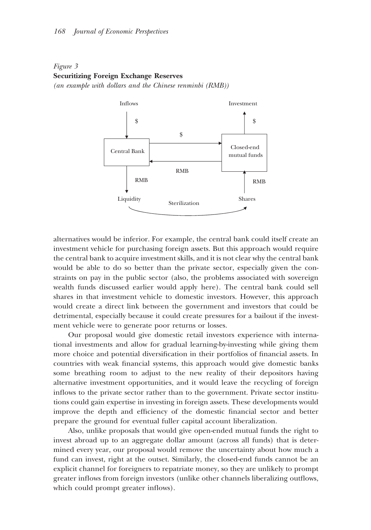## *Figure 3* **Securitizing Foreign Exchange Reserves**

*(an example with dollars and the Chinese renminbi (RMB))*



alternatives would be inferior. For example, the central bank could itself create an investment vehicle for purchasing foreign assets. But this approach would require the central bank to acquire investment skills, and it is not clear why the central bank would be able to do so better than the private sector, especially given the constraints on pay in the public sector (also, the problems associated with sovereign wealth funds discussed earlier would apply here). The central bank could sell shares in that investment vehicle to domestic investors. However, this approach would create a direct link between the government and investors that could be detrimental, especially because it could create pressures for a bailout if the investment vehicle were to generate poor returns or losses.

Our proposal would give domestic retail investors experience with international investments and allow for gradual learning-by-investing while giving them more choice and potential diversification in their portfolios of financial assets. In countries with weak financial systems, this approach would give domestic banks some breathing room to adjust to the new reality of their depositors having alternative investment opportunities, and it would leave the recycling of foreign inflows to the private sector rather than to the government. Private sector institutions could gain expertise in investing in foreign assets. These developments would improve the depth and efficiency of the domestic financial sector and better prepare the ground for eventual fuller capital account liberalization.

Also, unlike proposals that would give open-ended mutual funds the right to invest abroad up to an aggregate dollar amount (across all funds) that is determined every year, our proposal would remove the uncertainty about how much a fund can invest, right at the outset. Similarly, the closed-end funds cannot be an explicit channel for foreigners to repatriate money, so they are unlikely to prompt greater inflows from foreign investors (unlike other channels liberalizing outflows, which could prompt greater inflows).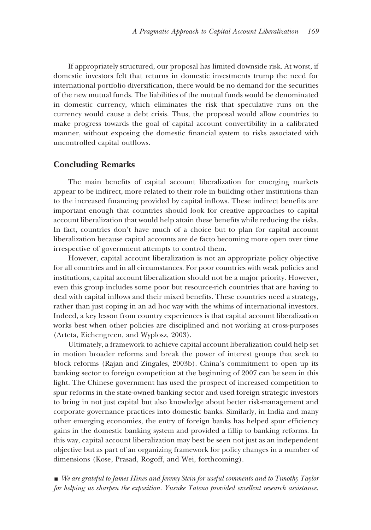If appropriately structured, our proposal has limited downside risk. At worst, if domestic investors felt that returns in domestic investments trump the need for international portfolio diversification, there would be no demand for the securities of the new mutual funds. The liabilities of the mutual funds would be denominated in domestic currency, which eliminates the risk that speculative runs on the currency would cause a debt crisis. Thus, the proposal would allow countries to make progress towards the goal of capital account convertibility in a calibrated manner, without exposing the domestic financial system to risks associated with uncontrolled capital outflows.

## **Concluding Remarks**

The main benefits of capital account liberalization for emerging markets appear to be indirect, more related to their role in building other institutions than to the increased financing provided by capital inflows. These indirect benefits are important enough that countries should look for creative approaches to capital account liberalization that would help attain these benefits while reducing the risks. In fact, countries don't have much of a choice but to plan for capital account liberalization because capital accounts are de facto becoming more open over time irrespective of government attempts to control them.

However, capital account liberalization is not an appropriate policy objective for all countries and in all circumstances. For poor countries with weak policies and institutions, capital account liberalization should not be a major priority. However, even this group includes some poor but resource-rich countries that are having to deal with capital inflows and their mixed benefits. These countries need a strategy, rather than just coping in an ad hoc way with the whims of international investors. Indeed, a key lesson from country experiences is that capital account liberalization works best when other policies are disciplined and not working at cross-purposes (Arteta, Eichengreen, and Wyplosz, 2003).

Ultimately, a framework to achieve capital account liberalization could help set in motion broader reforms and break the power of interest groups that seek to block reforms (Rajan and Zingales, 2003b). China's commitment to open up its banking sector to foreign competition at the beginning of 2007 can be seen in this light. The Chinese government has used the prospect of increased competition to spur reforms in the state-owned banking sector and used foreign strategic investors to bring in not just capital but also knowledge about better risk-management and corporate governance practices into domestic banks. Similarly, in India and many other emerging economies, the entry of foreign banks has helped spur efficiency gains in the domestic banking system and provided a fillip to banking reforms. In this way, capital account liberalization may best be seen not just as an independent objective but as part of an organizing framework for policy changes in a number of dimensions (Kose, Prasad, Rogoff, and Wei, forthcoming).

■ *We are grateful to James Hines and Jeremy Stein for useful comments and to Timothy Taylor for helping us sharpen the exposition. Yusuke Tateno provided excellent research assistance.*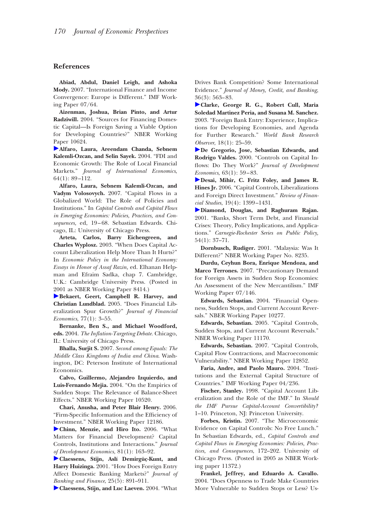#### **References**

**Abiad, Abdul, Daniel Leigh, and Ashoka Mody.** 2007. "International Finance and Income Convergence: Europe is Different." IMF Working Paper 07/64.

**Aizenman, Joshua, Brian Pinto, and Artur Radziwill.** 2004. "Sources for Financing Domestic Capital—Is Foreign Saving a Viable Option for Developing Countries?" NBER Working Paper 10624.

**Alfaro, Laura, Areendam Chanda, Sebnem Kalemli-Ozcan, and Selin Sayek.** 2004. "FDI and Economic Growth: The Role of Local Financial Markets." *Journal of International Economics*, 64(1): 89–112.

**Alfaro, Laura, Sebnem Kalemli-Ozcan, and Vadym Volosovych.** 2007. "Capital Flows in a Globalized World: The Role of Policies and Institutions." In *Capital Controls and Capital Flows in Emerging Economies: Policies, Practices, and Consequences,* ed, 19–68. Sebastian Edwards. Chicago, IL: University of Chicago Press.

**Arteta, Carlos, Barry Eichengreen, and Charles Wyplosz.** 2003. "When Does Capital Account Liberalization Help More Than It Hurts?" In *Economic Policy in the International Economy: Essays in Honor of Assaf Razin,* ed. Elhanan Helpman and Efraim Sadka, chap 7. Cambridge, U.K.: Cambridge University Press. (Posted in 2001 as NBER Working Paper 8414.)

**Bekaert, Geert, Campbell R. Harvey, and Christian Lundblad.** 2005. "Does Financial Liberalization Spur Growth?" *Journal of Financial Economics*, 77(1): 3–55.

**Bernanke, Ben S., and Michael Woodford, eds.** 2004. *The Inflation-Targeting Debate.* Chicago, IL: University of Chicago Press.

**Bhalla, Surjit S.** 2007. *Second among Equals: The Middle Class Kingdoms of India and China*. Washington, DC: Peterson Institute of International Economics.

**Calvo, Guillermo, Alejandro Izquierdo, and Luis-Fernando Mejia.** 2004. "On the Empirics of Sudden Stops: The Relevance of Balance-Sheet Effects." NBER Working Paper 10520.

**Chari, Anusha, and Peter Blair Henry.** 2006. "Firm-Specific Information and the Efficiency of Investment." NBER Working Paper 12186.

**Chinn, Menzie, and Hiro Ito.** 2006. "What Matters for Financial Development? Capital Controls, Institutions and Interactions." *Journal of Development Economics*, 81(1): 163–92.

Claessens, Stijn, Asli Demirgüç-Kunt, and **Harry Huizinga.** 2001. "How Does Foreign Entry Affect Domestic Banking Markets?" *Journal of Banking and Finance*, 25(5): 891–911.

**Claessens, Stijn, and Luc Laeven.** 2004. "What

Drives Bank Competition? Some International Evidence." *Journal of Money, Credit, and Banking*, 36(3): 563–83.

**Clarke, George R. G., Robert Cull, Maria Soledad Martinez Peria, and Susana M. Sanchez.** 2003. "Foreign Bank Entry: Experience, Implications for Developing Economies, and Agenda for Further Research." *World Bank Research Observer*, 18(1): 25–59.

**De Gregorio, Jose, Sebastian Edwards, and Rodrigo Valdes.** 2000. "Controls on Capital Inflows: Do They Work?" *Journal of Development Economics*, 63(1): 59–83.

**Desai, Mihir, C. Fritz Foley, and James R. Hines Jr.** 2006. "Capital Controls, Liberalizations and Foreign Direct Investment." *Review of Financial Studies*, 19(4): 1399–1431.

**Diamond, Douglas, and Raghuram Rajan.** 2001. "Banks, Short Term Debt, and Financial Crises: Theory, Policy Implications, and Applications." *Carnegie-Rochester Series on Public Policy,* 54(1): 37–71.

**Dornbusch, Rudiger.** 2001. "Malaysia: Was It Different?" NBER Working Paper No. 8235.

**Durdu, Ceyhun Bora, Enrique Mendoza, and Marco Terrones.** 2007. "Precautionary Demand for Foreign Assets in Sudden Stop Economies: An Assessment of the New Mercantilism." IMF Working Paper 07/146.

**Edwards, Sebastian.** 2004. "Financial Openness, Sudden Stops, and Current Account Reversals." NBER Working Paper 10277.

**Edwards, Sebastian.** 2005. "Capital Controls, Sudden Stops, and Current Account Reversals." NBER Working Paper 11170.

**Edwards, Sebastian.** 2007. "Capital Controls, Capital Flow Contractions, and Macroeconomic Vulnerability." NBER Working Paper 12852.

**Faria, Andre, and Paolo Mauro.** 2004. "Institutions and the External Capital Structure of Countries." IMF Working Paper 04/236.

**Fischer, Stanley.** 1998. "Capital Account Liberalization and the Role of the IMF." In *Should the IMF Pursue Capital-Account Convertibility?* 1–10. Princeton, NJ: Princeton University.

**Forbes, Kristin.** 2007. "The Microeconomic Evidence on Capital Controls: No Free Lunch." In Sebastian Edwards, ed., *Capital Controls and Capital Flows in Emerging Economies: Policies, Practices, and Consequences*, 172–202. University of Chicago Press. (Posted in 2005 as NBER Working paper 11372.)

**Frankel, Jeffrey, and Eduardo A. Cavallo.** 2004. "Does Openness to Trade Make Countries More Vulnerable to Sudden Stops or Less? Us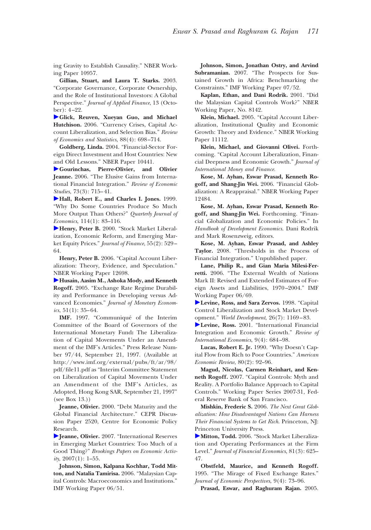ing Gravity to Establish Causality." NBER Working Paper 10957.

**Gillian, Stuart, and Laura T. Starks.** 2003. "Corporate Governance, Corporate Ownership, and the Role of Institutional Investors: A Global Perspective." *Journal of Applied Finance*, 13 (October): 4–22.

**Glick, Reuven, Xueyan Guo, and Michael Hutchison.** 2006. "Currency Crises, Capital Account Liberalization, and Selection Bias." *Review of Economics and Statistics*, 88(4): 698–714.

**Goldberg, Linda.** 2004. "Financial-Sector Foreign Direct Investment and Host Countries: New and Old Lessons." NBER Paper 10441.

**Gourinchas, Pierre-Olivier, and Olivier Jeanne.** 2006. "The Elusive Gains from International Financial Integration." *Review of Economic Studies*, 73(3): 715–41.

**Hall, Robert E., and Charles I. Jones.** 1999. "Why Do Some Countries Produce So Much More Output Than Others?" *Quarterly Journal of Economics*, 114(1): 83–116.

**Henry, Peter B.** 2000. "Stock Market Liberalization, Economic Reform, and Emerging Market Equity Prices." *Journal of Finance*, 55(2): 529– 64.

**Henry, Peter B.** 2006. "Capital Account Liberalization: Theory, Evidence, and Speculation." NBER Working Paper 12698.

**Husain, Aasim M., Ashoka Mody, and Kenneth Rogoff.** 2005. "Exchange Rate Regime Durability and Performance in Developing versus Advanced Economies." *Journal of Monetary Economics*, 51(1): 35–64.

**IMF.** 1997. "Communiqué of the Interim Committee of the Board of Governors of the International Monetary Fund**:** The Liberalization of Capital Movements Under an Amendment of the IMF's Articles." Press Release Number 97/44, September 21, 1997. (Available at http://www.imf.org/external/pubs/ft/ar/98/ pdf/file11.pdf as "Interim Committee Statement on Liberalization of Capital Movements Under an Amendment of the IMF's Articles, as Adopted, Hong Kong SAR, September 21, 1997" (see Box 13.))

**Jeanne, Olivier.** 2000. "Debt Maturity and the Global Financial Architecture." CEPR Discussion Paper 2520, Centre for Economic Policy Research.

**Jeanne, Olivier.** 2007. "International Reserves in Emerging Market Countries: Too Much of a Good Thing?" *Brookings Papers on Economic Activity*, 2007(1): 1–55.

**Johnson, Simon, Kalpana Kochhar, Todd Mitton, and Natalia Tamirisa.** 2006. "Malaysian Capital Controls: Macroeconomics and Institutions." IMF Working Paper 06/51.

**Johnson, Simon, Jonathan Ostry, and Arvind Subramanian.** 2007. "The Prospects for Sustained Growth in Africa: Benchmarking the Constraints." IMF Working Paper 07/52.

**Kaplan, Ethan, and Dani Rodrik.** 2001. "Did the Malaysian Capital Controls Work?" NBER Working Paper, No. 8142.

**Klein, Michael.** 2005. "Capital Account Liberalization, Institutional Quality and Economic Growth: Theory and Evidence." NBER Working Paper 11112.

**Klein, Michael, and Giovanni Olivei.** Forthcoming. "Capital Account Liberalization, Financial Deepness and Economic Growth." *Journal of International Money and Finance.*

**Kose, M. Ayhan, Eswar Prasad, Kenneth Rogoff, and Shang-Jin Wei.** 2006. "Financial Globalization: A Reappraisal." NBER Working Paper 12484.

**Kose, M. Ayhan, Eswar Prasad, Kenneth Rogoff, and Shang-Jin Wei.** Forthcoming. "Financial Globalization and Economic Policies." In *Handbook of Development Economics*. Dani Rodrik and Mark Rosenzweig, editors.

**Kose, M. Ayhan, Eswar Prasad, and Ashley Taylor.** 2008. "Thresholds in the Process of Financial Integration." Unpublished paper.

**Lane, Philip R., and Gian Maria Milesi-Ferretti.** 2006. "The External Wealth of Nations Mark II: Revised and Extended Estimates of Foreign Assets and Liabilities, 1970–2004." IMF Working Paper 06/69.

**Levine, Ross, and Sara Zervos.** 1998. "Capital Control Liberalization and Stock Market Development." *World Development*, 26(7): 1169–83.

**Levine, Ross.** 2001. "International Financial Integration and Economic Growth." *Review of International Economics*, 9(4): 684–98.

**Lucas, Robert E. Jr.** 1990. "Why Doesn't Capital Flow from Rich to Poor Countries." *American Economic Review*, 80(2): 92–96.

**Magud, Nicolas, Carmen Reinhart, and Kenneth Rogoff.** 2007. "Capital Controls: Myth and Reality. A Portfolio Balance Approach to Capital Controls." Working Paper Series 2007-31, Federal Reserve Bank of San Francisco.

**Mishkin, Frederic S.** 2006. *The Next Great Globalization: How Disadvantaged Nations Can Harness Their Financial Systems to Get Rich*. Princeton, NJ: Princeton University Press.

**Mitton, Todd.** 2006. "Stock Market Liberalization and Operating Performances at the Firm Level." *Journal of Financial Economics*, 81(3): 625– 47.

**Obstfeld, Maurice, and Kenneth Rogoff.** 1995. "The Mirage of Fixed Exchange Rates." *Journal of Economic Perspectives*, 9(4): 73–96.

**Prasad, Eswar, and Raghuram Rajan.** 2005.